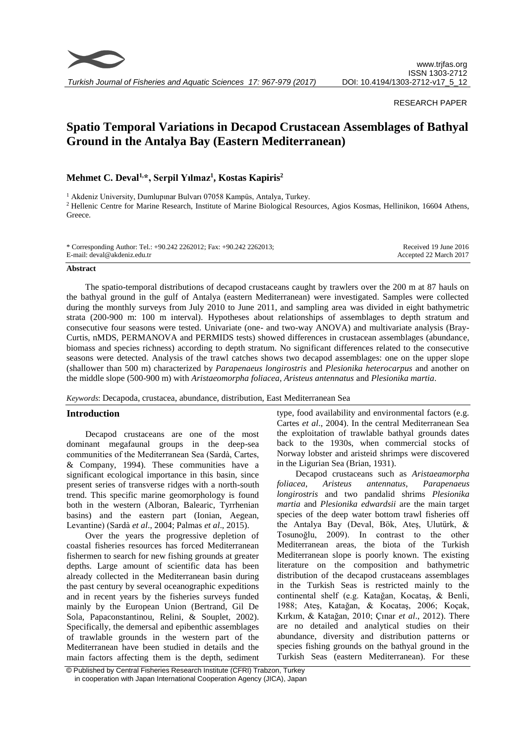

### RESEARCH PAPER

# **Spatio Temporal Variations in Decapod Crustacean Assemblages of Bathyal Ground in the Antalya Bay (Eastern Mediterranean)**

## **Mehmet C. Deval1,\*, Serpil Yılmaz<sup>1</sup> , Kostas Kapiris<sup>2</sup>**

<sup>1</sup> Akdeniz University, Dumlupınar Bulvarı 07058 Kampüs, Antalya, Turkey. <sup>2</sup> Hellenic Centre for Marine Research, Institute of Marine Biological Resources, Agios Kosmas, Hellinikon, 16604 Athens, Greece.

| * Corresponding Author: Tel.: +90.242 2262012; Fax: +90.242 2262013; | Received 19 June 2016  |
|----------------------------------------------------------------------|------------------------|
| E-mail: deval@akdeniz.edu.tr                                         | Accepted 22 March 2017 |

#### **Abstract**

The spatio-temporal distributions of decapod crustaceans caught by trawlers over the 200 m at 87 hauls on the bathyal ground in the gulf of Antalya (eastern Mediterranean) were investigated. Samples were collected during the monthly surveys from July 2010 to June 2011, and sampling area was divided in eight bathymetric strata (200-900 m: 100 m interval). Hypotheses about relationships of assemblages to depth stratum and consecutive four seasons were tested. Univariate (one- and two-way ANOVA) and multivariate analysis (Bray-Curtis, nMDS, PERMANOVA and PERMIDS tests) showed differences in crustacean assemblages (abundance, biomass and species richness) according to depth stratum. No significant differences related to the consecutive seasons were detected. Analysis of the trawl catches shows two decapod assemblages: one on the upper slope (shallower than 500 m) characterized by *Parapenaeus longirostris* and *Plesionika heterocarpus* and another on the middle slope (500-900 m) with *Aristaeomorpha foliacea, Aristeus antennatus* and *Plesionika martia*.

*Keywords*: Decapoda, crustacea, abundance, distribution, East Mediterranean Sea

## **Introduction**

Decapod crustaceans are one of the most dominant megafaunal groups in the deep-sea communities of the Mediterranean Sea (Sardà, Cartes, & Company, 1994). These communities have a significant ecological importance in this basin, since present series of transverse ridges with a north-south trend. This specific marine geomorphology is found both in the western (Alboran, Balearic, Tyrrhenian basins) and the eastern part (Ionian, Aegean, Levantine) (Sardà *et al*., 2004; Palmas *et al*., 2015).

Over the years the progressive depletion of coastal fisheries resources has forced Mediterranean fishermen to search for new fishing grounds at greater depths. Large amount of scientific data has been already collected in the Mediterranean basin during the past century by several oceanographic expeditions and in recent years by the fisheries surveys funded mainly by the European Union (Bertrand, Gil De Sola, Papaconstantinou, Relini, & Souplet, 2002). Specifically, the demersal and epibenthic assemblages of trawlable grounds in the western part of the Mediterranean have been studied in details and the main factors affecting them is the depth, sediment type, food availability and environmental factors (e.g. Cartes *et al*., 2004). In the central Mediterranean Sea the exploitation of trawlable bathyal grounds dates back to the 1930s, when commercial stocks of Norway lobster and aristeid shrimps were discovered in the Ligurian Sea (Brian, 1931).

Decapod crustaceans such as *Aristaeamorpha foliacea*, *Aristeus antennatus*, *Parapenaeus longirostris* and two pandalid shrims *Plesionika martia* and *Plesionika edwardsii* are the main target species of the deep water bottom trawl fisheries off the Antalya Bay (Deval, Bök, Ateş, Ulutürk, & Tosunoğlu, 2009). In contrast to the other Mediterranean areas, the biota of the Turkish Mediterranean slope is poorly known. The existing literature on the composition and bathymetric distribution of the decapod crustaceans assemblages in the Turkish Seas is restricted mainly to the continental shelf (e.g. Katağan, Kocataş, & Benli, 1988; Ateş, Katağan, & Kocataş, 2006; Koçak, Kırkım, & Katağan, 2010; Çınar *et al*., 2012). There are no detailed and analytical studies on their abundance, diversity and distribution patterns or species fishing grounds on the bathyal ground in the Turkish Seas (eastern Mediterranean). For these

<sup>©</sup> Published by Central Fisheries Research Institute (CFRI) Trabzon, Turkey in cooperation with Japan International Cooperation Agency (JICA), Japan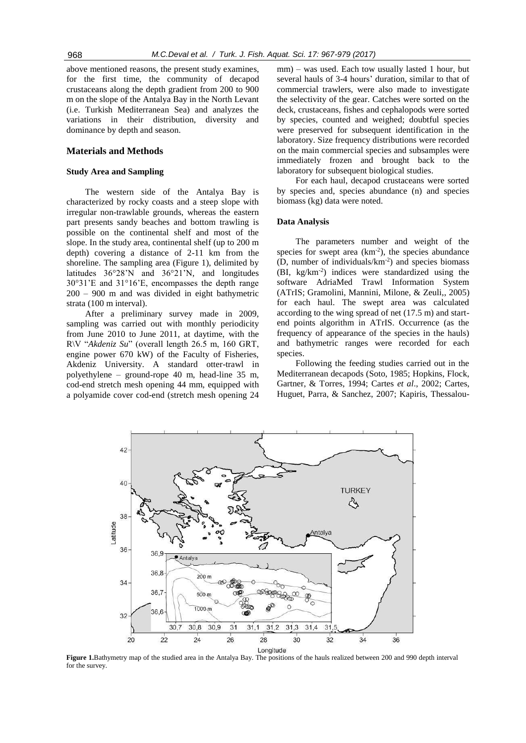above mentioned reasons, the present study examines, for the first time, the community of decapod crustaceans along the depth gradient from 200 to 900 m on the slope of the Antalya Bay in the North Levant (i.e. Turkish Mediterranean Sea) and analyzes the variations in their distribution, diversity and dominance by depth and season.

## **Materials and Methods**

#### **Study Area and Sampling**

The western side of the Antalya Bay is characterized by rocky coasts and a steep slope with irregular non-trawlable grounds, whereas the eastern part presents sandy beaches and bottom trawling is possible on the continental shelf and most of the slope. In the study area, continental shelf (up to 200 m depth) covering a distance of 2-11 km from the shoreline. The sampling area (Figure 1), delimited by latitudes 36°28'N and 36°21'N, and longitudes 30°31'E and 31°16'E, encompasses the depth range 200 – 900 m and was divided in eight bathymetric strata (100 m interval).

After a preliminary survey made in 2009, sampling was carried out with monthly periodicity from June 2010 to June 2011, at daytime, with the R\V "*Akdeniz Su*" (overall length 26.5 m, 160 GRT, engine power 670 kW) of the Faculty of Fisheries, Akdeniz University. A standard otter-trawl in polyethylene – ground-rope 40 m, head-line 35 m, cod-end stretch mesh opening 44 mm, equipped with a polyamide cover cod-end (stretch mesh opening 24 mm) – was used. Each tow usually lasted 1 hour, but several hauls of 3-4 hours' duration, similar to that of commercial trawlers, were also made to investigate the selectivity of the gear. Catches were sorted on the deck, crustaceans, fishes and cephalopods were sorted by species, counted and weighed; doubtful species were preserved for subsequent identification in the laboratory. Size frequency distributions were recorded on the main commercial species and subsamples were immediately frozen and brought back to the laboratory for subsequent biological studies.

For each haul, decapod crustaceans were sorted by species and, species abundance (n) and species biomass (kg) data were noted.

#### **Data Analysis**

The parameters number and weight of the species for swept area  $(km<sup>-2</sup>)$ , the species abundance (D, number of individuals/km-2 ) and species biomass (BI, kg/km-2 ) indices were standardized using the software AdriaMed Trawl Information System (ATrIS; Gramolini, Mannini, Milone, & Zeuli,, 2005) for each haul. The swept area was calculated according to the wing spread of net (17.5 m) and startend points algorithm in ATrIS. Occurrence (as the frequency of appearance of the species in the hauls) and bathymetric ranges were recorded for each species.

Following the feeding studies carried out in the Mediterranean decapods (Soto, 1985; Hopkins, Flock, Gartner, & Torres, 1994; Cartes *et al*., 2002; Cartes, Huguet, Parra, & Sanchez, 2007; Kapiris, Thessalou-



**Figure 1.**Bathymetry map of the studied area in the Antalya Bay. The positions of the hauls realized between 200 and 990 depth interval for the survey.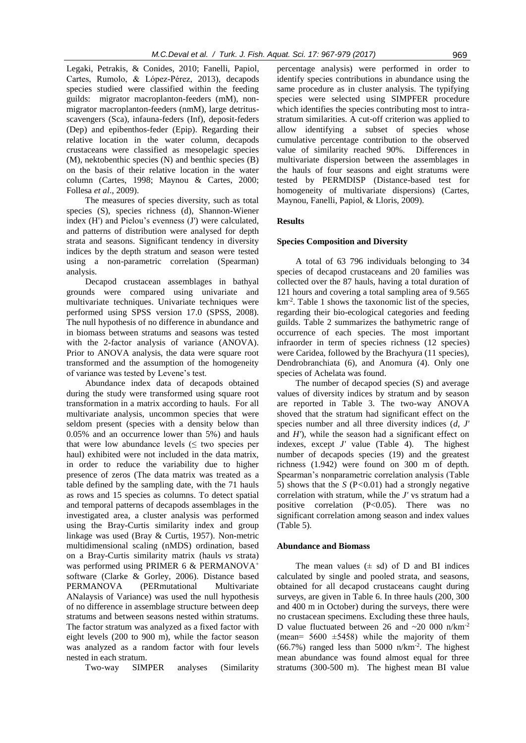Legaki, Petrakis, & Conides, 2010; Fanelli, Papiol, Cartes, Rumolo, & López-Pérez, 2013), decapods species studied were classified within the feeding guilds: migrator macroplanton-feeders (mM), nonmigrator macroplanton-feeders (nmM), large detritusscavengers (Sca), infauna-feders (Inf), deposit-feders (Dep) and epibenthos-feder (Epip). Regarding their relative location in the water column, decapods crustaceans were classified as mesopelagic species (M), nektobenthic species (N) and benthic species (B) on the basis of their relative location in the water column (Cartes, 1998; Maynou & Cartes, 2000; Follesa *et al*., 2009).

The measures of species diversity, such as total species (S), species richness (d), Shannon-Wiener index (H') and Pielou's evenness (J') were calculated, and patterns of distribution were analysed for depth strata and seasons. Significant tendency in diversity indices by the depth stratum and season were tested using a non-parametric correlation (Spearman) analysis.

Decapod crustacean assemblages in bathyal grounds were compared using univariate and multivariate techniques. Univariate techniques were performed using SPSS version 17.0 (SPSS, 2008). The null hypothesis of no difference in abundance and in biomass between stratums and seasons was tested with the 2-factor analysis of variance (ANOVA). Prior to ANOVA analysis, the data were square root transformed and the assumption of the homogeneity of variance was tested by Levene's test.

Abundance index data of decapods obtained during the study were transformed using square root transformation in a matrix according to hauls. For all multivariate analysis, uncommon species that were seldom present (species with a density below than 0.05% and an occurrence lower than 5%) and hauls that were low abundance levels  $(\leq$  two species per haul) exhibited were not included in the data matrix, in order to reduce the variability due to higher presence of zeros (The data matrix was treated as a table defined by the sampling date, with the 71 hauls as rows and 15 species as columns. To detect spatial and temporal patterns of decapods assemblages in the investigated area, a cluster analysis was performed using the Bray-Curtis similarity index and group linkage was used (Bray & Curtis, 1957). Non-metric multidimensional scaling (nMDS) ordination, based on a Bray-Curtis similarity matrix (hauls *vs* strata) was performed using PRIMER 6 & PERMANOVA<sup>+</sup> software (Clarke & Gorley, 2006). Distance based PERMANOVA (PERmutational Multivariate ANalaysis of Variance) was used the null hypothesis of no difference in assemblage structure between deep stratums and between seasons nested within stratums. The factor stratum was analyzed as a fixed factor with eight levels (200 to 900 m), while the factor season was analyzed as a random factor with four levels nested in each stratum.

Two-way SIMPER analyses (Similarity

percentage analysis) were performed in order to identify species contributions in abundance using the same procedure as in cluster analysis. The typifying species were selected using SIMPFER procedure which identifies the species contributing most to intrastratum similarities. A cut-off criterion was applied to allow identifying a subset of species whose cumulative percentage contribution to the observed value of similarity reached 90%. Differences in multivariate dispersion between the assemblages in the hauls of four seasons and eight stratums were tested by PERMDISP (Distance-based test for homogeneity of multivariate dispersions) (Cartes, Maynou, Fanelli, Papiol, & Lloris, 2009).

## **Results**

#### **Species Composition and Diversity**

A total of 63 796 individuals belonging to 34 species of decapod crustaceans and 20 families was collected over the 87 hauls, having a total duration of 121 hours and covering a total sampling area of 9.565 km-2 . Table 1 shows the taxonomic list of the species, regarding their bio-ecological categories and feeding guilds. Table 2 summarizes the bathymetric range of occurrence of each species. The most important infraorder in term of species richness (12 species) were Caridea, followed by the Brachyura (11 species), Dendrobranchiata (6), and Anomura (4). Only one species of Achelata was found.

The number of decapod species (S) and average values of diversity indices by stratum and by season are reported in Table 3. The two-way ANOVA shoved that the stratum had significant effect on the species number and all three diversity indices (*d*, *J'* and *H'*), while the season had a significant effect on indexes, except *J'* value (Table 4). The highest number of decapods species (19) and the greatest richness (1.942) were found on 300 m of depth. Spearman's nonparametric correlation analysis (Table 5) shows that the *S* (P*<*0.01) had a strongly negative correlation with stratum, while the *J'* vs stratum had a positive correlation  $(P<0.05)$ . There was no significant correlation among season and index values (Table 5).

#### **Abundance and Biomass**

The mean values  $(\pm \text{ sd})$  of D and BI indices calculated by single and pooled strata, and seasons, obtained for all decapod crustaceans caught during surveys, are given in Table 6. In three hauls (200, 300 and 400 m in October) during the surveys, there were no crustacean specimens. Excluding these three hauls, D value fluctuated between 26 and  $\sim$ 20 000 n/km<sup>-2</sup> (mean=  $5600 \pm 5458$ ) while the majority of them (66.7%) ranged less than 5000 n/km-2 . The highest mean abundance was found almost equal for three stratums (300-500 m). The highest mean BI value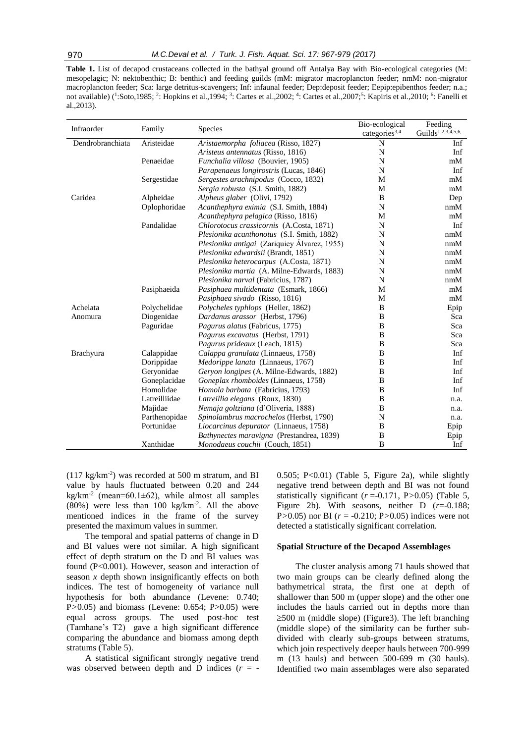**Table 1.** List of decapod crustaceans collected in the bathyal ground off Antalya Bay with Bio-ecological categories (M: mesopelagic; N: nektobenthic; B: benthic) and feeding guilds (mM: migrator macroplancton feeder; nmM: non-migrator macroplancton feeder; Sca: large detritus-scavengers; Inf: infaunal feeder; Dep:deposit feeder; Eepip:epibenthos feeder; n.a.; not available) (<sup>1</sup>:Soto,1985; <sup>2</sup>: Hopkins et al.,1994; <sup>3</sup>: Cartes et al.,2002; <sup>4</sup>: Cartes et al.,2007;<sup>5</sup>: Kapiris et al.,2010; <sup>6</sup>: Fanelli et al.,2013).

| Infraorder       | Family        | <b>Species</b>                               | Bio-ecological            | Feeding                        |
|------------------|---------------|----------------------------------------------|---------------------------|--------------------------------|
|                  |               |                                              | categories <sup>3,4</sup> | Guilds <sup>1,2,3,4,5,6,</sup> |
| Dendrobranchiata | Aristeidae    | Aristaemorpha foliacea (Risso, 1827)         | N                         | Inf                            |
|                  |               | Aristeus antennatus (Risso, 1816)            | N                         | Inf                            |
|                  | Penaeidae     | Funchalia villosa (Bouvier, 1905)            | N                         | mM                             |
|                  |               | Parapenaeus longirostris (Lucas, 1846)       | N                         | Inf                            |
|                  | Sergestidae   | Sergestes arachnipodus (Cocco, 1832)         | M                         | mM                             |
|                  |               | Sergia robusta (S.I. Smith, 1882)            | M                         | mM                             |
| Caridea          | Alpheidae     | Alpheus glaber (Olivi, 1792)                 | B                         | Dep                            |
|                  | Oplophoridae  | Acanthephyra eximia (S.I. Smith, 1884)       | N                         | nmM                            |
|                  |               | Acanthephyra pelagica (Risso, 1816)          | М                         | mM                             |
|                  | Pandalidae    | Chlorotocus crassicornis (A.Costa, 1871)     | N                         | Inf                            |
|                  |               | Plesionika acanthonotus (S.I. Smith, 1882)   | N                         | nmM                            |
|                  |               | Plesionika antigai (Zariquiey Alvarez, 1955) | N                         | nmM                            |
|                  |               | Plesionika edwardsii (Brandt, 1851)          | N                         | nmM                            |
|                  |               | Plesionika heterocarpus (A.Costa, 1871)      | N                         | nmM                            |
|                  |               | Plesionika martia (A. Milne-Edwards, 1883)   | N                         | nmM                            |
|                  |               | Plesionika narval (Fabricius, 1787)          | N                         | nmM                            |
|                  | Pasiphaeida   | Pasiphaea multidentata (Esmark, 1866)        | M                         | mM                             |
|                  |               | Pasiphaea sivado (Risso, 1816)               | M                         | mM                             |
| Achelata         | Polychelidae  | Polycheles typhlops (Heller, 1862)           | B                         | Epip                           |
| Anomura          | Diogenidae    | Dardanus arassor (Herbst, 1796)              | B                         | Sca                            |
|                  | Paguridae     | Pagurus alatus (Fabricus, 1775)              | B                         | Sca                            |
|                  |               | Pagurus excavatus (Herbst, 1791)             | B                         | Sca                            |
|                  |               | Pagurus prideaux (Leach, 1815)               | B                         | Sca                            |
| Brachyura        | Calappidae    | Calappa granulata (Linnaeus, 1758)           | B                         | Inf                            |
|                  | Dorippidae    | <i>Medorippe lanata</i> (Linnaeus, 1767)     | B                         | Inf                            |
|                  | Geryonidae    | Geryon longipes (A. Milne-Edwards, 1882)     | B                         | Inf                            |
|                  | Goneplacidae  | Goneplax rhomboides (Linnaeus, 1758)         | B                         | Inf                            |
|                  | Homolidae     | <i>Homola barbata</i> (Fabricius, 1793)      | B                         | Inf                            |
|                  | Latreilliidae | Latreillia elegans (Roux, 1830)              | B                         | n.a.                           |
|                  | Majidae       | Nemaja goltziana (d'Oliveria, 1888)          | B                         | n.a.                           |
|                  | Parthenopidae | Spinolambrus macrochelos (Herbst, 1790)      | N                         | n.a.                           |
|                  | Portunidae    | Liocarcinus depurator (Linnaeus, 1758)       | B                         | Epip                           |
|                  |               | Bathynectes maravigna (Prestandrea, 1839)    | B                         | Epip                           |
|                  | Xanthidae     | Monodaeus couchii (Couch, 1851)              | B                         | Inf                            |

 $(117 \text{ kg/km}^{-2})$  was recorded at 500 m stratum, and BI value by hauls fluctuated between 0.20 and 244  $kg/km<sup>-2</sup>$  (mean=60.1 $\pm$ 62), while almost all samples  $(80%)$  were less than 100 kg/km<sup>-2</sup>. All the above mentioned indices in the frame of the survey presented the maximum values in summer.

The temporal and spatial patterns of change in D and BI values were not similar. A high significant effect of depth stratum on the D and BI values was found (P<0.001). However, season and interaction of season *x* depth shown insignificantly effects on both indices. The test of homogeneity of variance null hypothesis for both abundance (Levene: 0.740; P*>*0.05) and biomass (Levene: 0.654; P>0.05) were equal across groups. The used post-hoc test (Tamhane's T2) gave a high significant difference comparing the abundance and biomass among depth stratums (Table 5).

A statistical significant strongly negative trend was observed between depth and D indices  $(r = -$  0.505;  $P<0.01$ ) (Table 5, Figure 2a), while slightly negative trend between depth and BI was not found statistically significant  $(r = 0.171, P > 0.05)$  (Table 5, Figure 2b). With seasons, neither D (*r*=-0.188; P*>*0.05) nor BI (*r* = -0.210; P*>*0.05) indices were not detected a statistically significant correlation.

#### **Spatial Structure of the Decapod Assemblages**

The cluster analysis among 71 hauls showed that two main groups can be clearly defined along the bathymetrical strata, the first one at depth of shallower than 500 m (upper slope) and the other one includes the hauls carried out in depths more than  $\geq$ 500 m (middle slope) (Figure3). The left branching (middle slope) of the similarity can be further subdivided with clearly sub-groups between stratums, which join respectively deeper hauls between 700-999 m (13 hauls) and between 500-699 m (30 hauls). Identified two main assemblages were also separated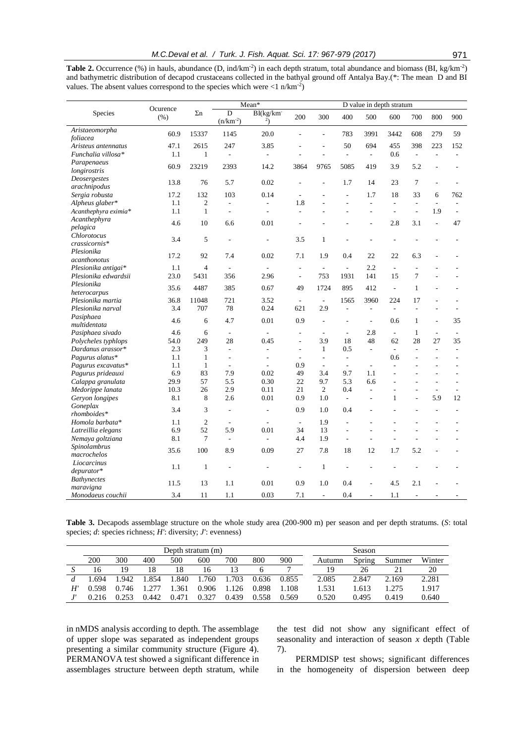|                              | Ocurence |            | Mean*                    |           |            | D value in depth stratum |                          |                  |      |                 |     |     |
|------------------------------|----------|------------|--------------------------|-----------|------------|--------------------------|--------------------------|------------------|------|-----------------|-----|-----|
| Species                      | (% )     | $\Sigma$ n | D<br>$(n/km^{-2})$       | BI(kg/km) | 200        | 300                      | 400                      | 500              | 600  | 700             | 800 | 900 |
| Aristaeomorpha<br>foliacea   | 60.9     | 15337      | 1145                     | 20.0      |            |                          | 783                      | 3991             | 3442 | 608             | 279 | 59  |
| Aristeus antennatus          | 47.1     | 2615       | 247                      | 3.85      |            |                          | 50                       | 694              | 455  | 398             | 223 | 152 |
| Funchalia villosa*           | 1.1      |            |                          |           |            |                          |                          |                  | 0.6  |                 |     |     |
| Parapenaeus<br>longirostris  | 60.9     | 23219      | 2393                     | 14.2      | 3864       | 9765                     | 5085                     | 419              | 3.9  | 5.2             |     |     |
| Deosergestes<br>arachnipodus | 13.8     | 76         | 5.7                      | 0.02      |            |                          | 1.7                      | 14               | 23   | $7\phantom{.0}$ |     |     |
| Sergia robusta               | 17.2     | 132        | 103                      | 0.14      |            |                          | $\overline{\phantom{0}}$ | 1.7              | 18   | 33              | 6   | 762 |
| Alpheus glaber*              | 1.1      | 2          | $\overline{\phantom{a}}$ |           | 1.8        |                          |                          |                  |      |                 |     |     |
| Acanthephyra eximia*         | 1.1      |            | $\overline{a}$           |           |            |                          |                          |                  |      |                 | 1.9 |     |
| Acanthephyra<br>pelagica     | 4.6      | 10         | 6.6                      | 0.01      |            |                          |                          |                  | 2.8  | 3.1             |     | 47  |
| Chlorotocus<br>crassicornis* | 3.4      | 5          |                          |           | 3.5        | 1                        |                          |                  |      |                 |     |     |
| Plesionika<br>acanthonotus   | 17.2     | 92         | 7.4                      | 0.02      | 7.1        | 1.9                      | 0.4                      | 22               | 22   | 6.3             |     |     |
| Plesionika antigai*          | 1.1      | 4          |                          |           |            |                          |                          | 2.2              |      |                 |     |     |
| Plesionika edwardsii         | 23.0     | 5431       | 356                      | 2.96      | ٠          | 753                      | 1931                     | 141              | 15   | $\overline{7}$  |     |     |
| Plesionika                   | 25.5     | 4.407      | 20e                      | $0<\tau$  | $\sqrt{ }$ | 1.70A                    | 00 <sup>2</sup>          | 4.1 <sub>0</sub> |      | $\mathbf{1}$    |     |     |

*heterocarpus* 35.6 <sup>4487</sup> <sup>385</sup> 0.67 <sup>49</sup> <sup>1724</sup> <sup>895</sup> <sup>412</sup> - <sup>1</sup> - - *Plesionika martia* 36.8 11048 721 3.52 - - 1565 3960 224 17 - - *Plesionika narval* 3.4 707 78 0.24 621 2.9 - - - - - -

*multidentata* 4.6 <sup>6</sup> 4.7 0.01 0.9 - - - 0.6 <sup>1</sup> - <sup>35</sup> *Pasiphaea sivado* 4.6 6 - - - - - 2.8 - 1 - - *Polycheles typhlops* 54.0 249 28 0.45 - 3.9 18 48 62 28 27 35 *Dardanus arassor\** 2.3 3 - - - 1 0.5 - - - - - *Pagurus alatus*\* 1.1 1 - - - - - 0.6 - - -*Pagurus excavatus\** 1.1 1 - - 0.9 - - - - - - - *Pagurus prideauxi* 6.9 83 7.9 0.02 49 3.4 9.7 1.1 - - - - *Calappa granulata* 29.9 57 5.5 0.30 22 9.7 5.3 6.6 - - - - *Medorippe lanata* 10.3 26 2.9 0.11 21 2 0.4 - - - - - *Geryon longipes* 8.1 8 2.6 0.01 0.9 1.0 - - 1 - 5.9 12

*rhomboides\** 3.4 <sup>3</sup> - - 0.9 1.0 0.4 - - - - - *Homola barbata\** 1.1 2 - - - 1.9 - - - - - - *Latreillia elegans* 6.9 52 5.9 0.01 34 13 - - - - - -

*macrochelos* 35.6 <sup>100</sup> 8.9 0.09 <sup>27</sup> 7.8 <sup>18</sup> <sup>12</sup> 1.7 5.2 - -

*depurator\** 1.1 1 - - - 1 - - - - - - -

*maravigna* 11.5 <sup>13</sup> 1.1 0.01 0.9 1.0 0.4 - 4.5 2.1 - -

*Monodaeus couchii* 3.4 11 1.1 0.03 7.1 - 0.4 - 1.1

**Table 2.** Occurrence  $(\%)$  in hauls, abundance  $(D, ind/km^2)$  in each depth stratum, total abundance and biomass  $(BI, kg/km^2)$ and bathymetric distribution of decapod crustaceans collected in the bathyal ground off Antalya Bay.(\*: The mean D and BI values. The absent values correspond to the species which were  $\langle 1 \text{ n/km}^2 \rangle$ )

| Table 3. Decapods assemblage structure on the whole study area (200-900 m) per season and per depth stratums. (S: total |  |  |  |
|-------------------------------------------------------------------------------------------------------------------------|--|--|--|
| species; $d$ : species richness; $H'$ : diversity; $J'$ : evenness)                                                     |  |  |  |

|              | Depth stratum (m) |       |       |       |       |       |       |       |        | Season |        |        |
|--------------|-------------------|-------|-------|-------|-------|-------|-------|-------|--------|--------|--------|--------|
|              | 200               | 300   | 400   | 500   | 600   | 700   | 800   | 900   | Autumn | Spring | Summer | Winter |
|              | 16                | 19    | 18    | 18    | 16    |       |       |       | 19     | 26     |        | 20     |
|              | .694              | .942  | .854  | .840  | .760  | 703   | 0.636 | 0.855 | 2.085  | 2.847  | 2.169  | 2.281  |
| $H^{\prime}$ | 0.598             | 0.746 |       | 361   | 0.906 | 126   | 0.898 | L.108 | 1.531  | 1.613  | .275   | 1.917  |
|              | 0.216             | 753 ( | 0.442 | 0.471 | በ 327 | 0.439 | 0.558 | 0.569 | 0.520  | 0.495  | 0.419  | 0.640  |

in nMDS analysis according to depth. The assemblage of upper slope was separated as independent groups presenting a similar community structure (Figure 4). PERMANOVA test showed a significant difference in assemblages structure between depth stratum, while

*Pasiphaea* 

*Goneplax* 

 $N$ emaya goltziana *Spinolambrus* 

*Liocarcinus* 

*Bathynectes* 

the test did not show any significant effect of seasonality and interaction of season *x* depth (Table 7).

PERMDISP test shows; significant differences in the homogeneity of dispersion between deep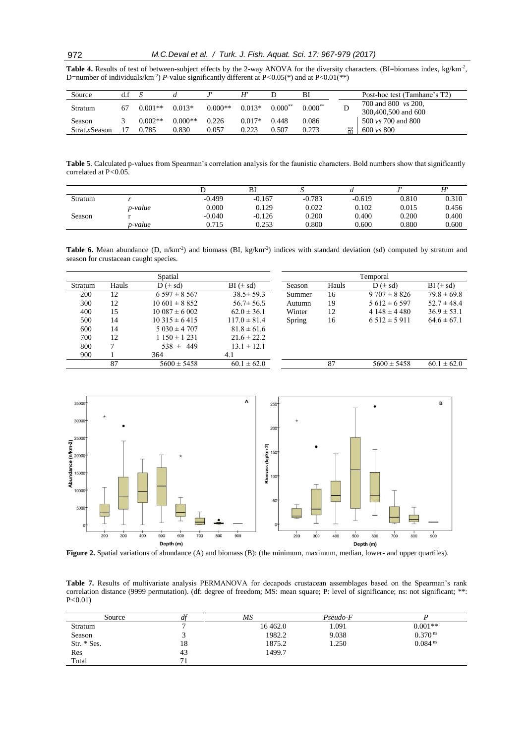Table 4. Results of test of between-subject effects by the 2-way ANOVA for the diversity characters. (BI=biomass index, kg/km<sup>-2</sup>, D=number of individuals/km-2 ) *P*-value significantly different at P*<*0.05(\*) and at P<0.01(\*\*)

| Source        |           |           |           |          |           | Bl        |   | Post-hoc test (Tamhane's T2)                      |
|---------------|-----------|-----------|-----------|----------|-----------|-----------|---|---------------------------------------------------|
| Stratum       | $0.001**$ | $0.013*$  | $0.000**$ | $0.013*$ | $0.000**$ | $0.000**$ | ν | 700 and 800 <i>vs</i> 200,<br>300,400,500 and 600 |
| Season        | $0.002**$ | $0.000**$ | 0.226     | $0.017*$ | 0.448     | 0.086     |   | 500 <i>vs</i> 700 and 800                         |
| Strat.xSeason | 0.785     | 0.830     | 0.057     | 0.223    | 0.507     | 0.273     | 声 | $600 \text{ vs } 800$                             |

**Table 5**. Calculated p-values from Spearman's correlation analysis for the faunistic characters. Bold numbers show that significantly correlated at P*<*0.05.

|         |                 |          | B)       |          |          |           | Н     |
|---------|-----------------|----------|----------|----------|----------|-----------|-------|
| Stratum |                 | $-0.499$ | $-0.167$ | $-0.783$ | $-0.619$ | 0.810     | 0.310 |
|         | <i>p</i> -value | 0.000    | 0.129    | 0.022    | 0.102    | 0.015     | 0.456 |
| Season  |                 | $-0.040$ | $-0.126$ | 0.200    | 0.400    | 0.200     | 0.400 |
|         | p-value         | 0.715    | 0.253    | 0.800    | 0.600    | $0.800\,$ | 0.600 |

**Table 6.** Mean abundance (D,  $n/km<sup>2</sup>$ ) and biomass (BI, kg/km<sup>-2</sup>) indices with standard deviation (sd) computed by stratum and season for crustacean caught species.

|         |       | Spatial                          |                  |        |       | Temporal                         |                 |
|---------|-------|----------------------------------|------------------|--------|-------|----------------------------------|-----------------|
| Stratum | Hauls | $D \left( \pm \text{sd} \right)$ | $BI (\pm sd)$    | Season | Hauls | $D \left( \pm \text{sd} \right)$ | $BI (\pm sd)$   |
| 200     | 12    | $6.597 \pm 8.567$                | $38.5 \pm 59.3$  | Summer | 16    | $9707 \pm 8826$                  | $79.8 \pm 69.8$ |
| 300     | 12    | $10\,601 \pm 8\,852$             | $56.7 \pm 56.5$  | Autumn | 19    | $5612 \pm 6597$                  | $52.7 \pm 48.4$ |
| 400     | 15    | $10.087 \pm 6.002$               | $62.0 \pm 36.1$  | Winter | 12    | $4148 \pm 4480$                  | $36.9 \pm 53.1$ |
| 500     | 14    | $10.315 \pm 6.415$               | $117.0 \pm 81.4$ | Spring | 16    | $6.512 \pm 5.911$                | $64.6 \pm 67.1$ |
| 600     | 14    | $5030 \pm 4707$                  | $81.8 \pm 61.6$  |        |       |                                  |                 |
| 700     | 12    | $1150 \pm 1231$                  | $21.6 \pm 22.2$  |        |       |                                  |                 |
| 800     | 7     | $538 \pm 449$                    | $13.1 \pm 12.1$  |        |       |                                  |                 |
| 900     |       | 364                              | 4.1              |        |       |                                  |                 |
|         | 87    | $5600 \pm 5458$                  | $60.1 \pm 62.0$  |        | 87    | $5600 \pm 5458$                  | $60.1 \pm 62.0$ |



**Figure 2.** Spatial variations of abundance (A) and biomass (B): (the minimum, maximum, median, lower- and upper quartiles).

**Table 7.** Results of multivariate analysis PERMANOVA for decapods crustacean assemblages based on the Spearman's rank correlation distance (9999 permutation). (df: degree of freedom; MS: mean square; P: level of significance; ns: not significant; \*\*: P*<*0.01)

| Source      |    | MS      | Pseudo-F |                       |
|-------------|----|---------|----------|-----------------------|
| Stratum     |    | 16462.0 | 1.091    | $0.001**$             |
| Season      |    | 1982.2  | 9.038    | $0.370$ <sup>ns</sup> |
| Str. * Ses. | 18 | 1875.2  | 1.250    | $0.084$ <sup>ns</sup> |
| Res         | 43 | 1499.7  |          |                       |
| Total       |    |         |          |                       |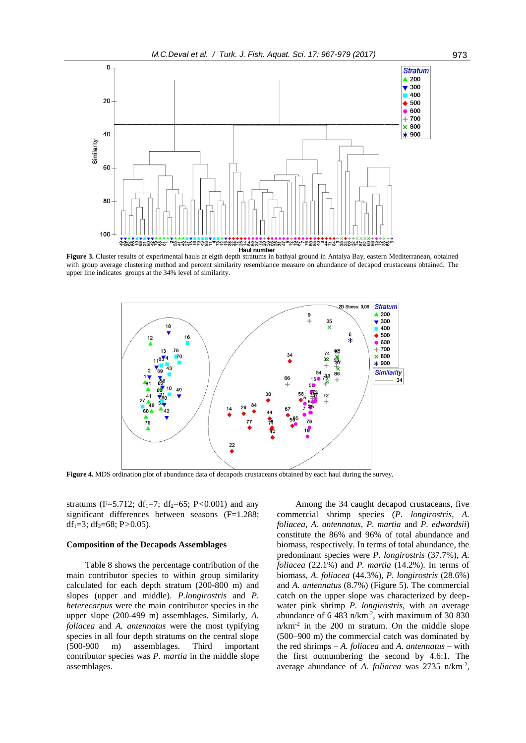

with group average clustering method and percent similarity resemblance measure on abundance of decapod crustaceans obtained. The upper line indicates groups at the 34% level of similarity.



**Figure 4.** MDS ordination plot of abundance data of decapods crustaceans obtained by each haul during the survey.

stratums (F=5.712; df<sub>1</sub>=7; df<sub>2</sub>=65; P<0.001) and any significant differences between seasons (F=1.288; df<sub>1</sub>=3; df<sub>2</sub>=68; P>0.05).

### **Composition of the Decapods Assemblages**

Table 8 shows the percentage contribution of the main contributor species to within group similarity calculated for each depth stratum (200-800 m) and slopes (upper and middle). *P.longirostris* and *P. heterecarpus* were the main contributor species in the upper slope (200-499 m) assemblages. Similarly, *A. foliacea* and *A. antennatus* were the most typifying species in all four depth stratums on the central slope (500-900 m) assemblages. Third important contributor species was *P. martia* in the middle slope assemblages.

Among the 34 caught decapod crustaceans, five commercial shrimp species (*P. longirostris*, *A. foliacea*, *A. antennatus*, *P. martia* and *P. edwardsii*) constitute the 86% and 96% of total abundance and biomass, respectively. In terms of total abundance, the predominant species were *P. longirostris* (37.7%), *A. foliacea* (22.1%) and *P. martia* (14.2%). In terms of biomass, *A. foliacea* (44.3%), *P. longirostris* (28.6%) and *A. antennatus* (8.7%) (Figure 5). The commercial catch on the upper slope was characterized by deepwater pink shrimp *P. longirostris*, with an average abundance of 6 483 n/km-2 , with maximum of 30 830 n/km-2 in the 200 m stratum. On the middle slope (500–900 m) the commercial catch was dominated by the red shrimps – *A. foliacea* and *A. antennatus* – with the first outnumbering the second by 4.6:1. The average abundance of A. foliacea was 2735 n/km<sup>-2</sup>,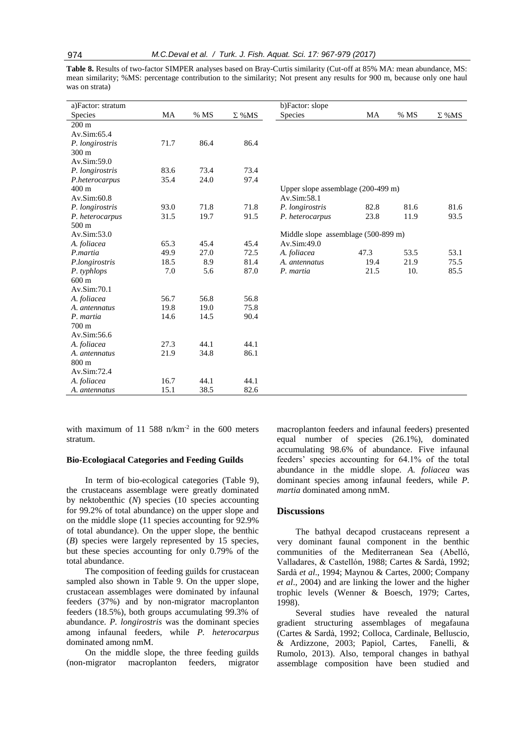**Table 8.** Results of two-factor SIMPER analyses based on Bray-Curtis similarity (Cut-off at 85% MA: mean abundance, MS: mean similarity; %MS: percentage contribution to the similarity; Not present any results for 900 m, because only one haul was on strata)

| a)Factor: stratum |      |      |               | b)Factor: slope                               |      |      |              |
|-------------------|------|------|---------------|-----------------------------------------------|------|------|--------------|
| Species           | MA   | % MS | $\Sigma$ % MS | <b>Species</b>                                | MA   | % MS | $\Sigma$ %MS |
| $200 \text{ m}$   |      |      |               |                                               |      |      |              |
| Av.Sim:65.4       |      |      |               |                                               |      |      |              |
| P. longirostris   | 71.7 | 86.4 | 86.4          |                                               |      |      |              |
| 300 m             |      |      |               |                                               |      |      |              |
| Av.Sim:59.0       |      |      |               |                                               |      |      |              |
| P. longirostris   | 83.6 | 73.4 | 73.4          |                                               |      |      |              |
| P.heterocarpus    | 35.4 | 24.0 | 97.4          |                                               |      |      |              |
| $400 \text{ m}$   |      |      |               | Upper slope assemblage $(200-499 \text{ m})$  |      |      |              |
| Av.Sim:60.8       |      |      |               | Av.Sim:58.1                                   |      |      |              |
| P. longirostris   | 93.0 | 71.8 | 71.8          | P. longirostris                               | 82.8 | 81.6 | 81.6         |
| P. heterocarpus   | 31.5 | 19.7 | 91.5          | P. heterocarpus                               | 23.8 | 11.9 | 93.5         |
| $500 \text{ m}$   |      |      |               |                                               |      |      |              |
| Av.Sim:53.0       |      |      |               | Middle slope assemblage $(500-899 \text{ m})$ |      |      |              |
| A. foliacea       | 65.3 | 45.4 | 45.4          | Av.Sim:49.0                                   |      |      |              |
| P.martia          | 49.9 | 27.0 | 72.5          | A. foliacea                                   | 47.3 | 53.5 | 53.1         |
| P.longirostris    | 18.5 | 8.9  | 81.4          | A. antennatus                                 | 19.4 | 21.9 | 75.5         |
| P. typhlops       | 7.0  | 5.6  | 87.0          | P. martia                                     | 21.5 | 10.  | 85.5         |
| $600 \text{ m}$   |      |      |               |                                               |      |      |              |
| Av.Sim:70.1       |      |      |               |                                               |      |      |              |
| A. foliacea       | 56.7 | 56.8 | 56.8          |                                               |      |      |              |
| A. antennatus     | 19.8 | 19.0 | 75.8          |                                               |      |      |              |
| P. martia         | 14.6 | 14.5 | 90.4          |                                               |      |      |              |
| 700 <sub>m</sub>  |      |      |               |                                               |      |      |              |
| Av.Sim:56.6       |      |      |               |                                               |      |      |              |
| A. foliacea       | 27.3 | 44.1 | 44.1          |                                               |      |      |              |
| A. antennatus     | 21.9 | 34.8 | 86.1          |                                               |      |      |              |
| 800 m             |      |      |               |                                               |      |      |              |
| Av.Sim:72.4       |      |      |               |                                               |      |      |              |
| A. foliacea       | 16.7 | 44.1 | 44.1          |                                               |      |      |              |
| A. antennatus     | 15.1 | 38.5 | 82.6          |                                               |      |      |              |

with maximum of 11 588  $n/km^{-2}$  in the 600 meters stratum.

#### **Bio-Ecologiacal Categories and Feeding Guilds**

In term of bio-ecological categories (Table 9), the crustaceans assemblage were greatly dominated by nektobenthic (*N*) species (10 species accounting for 99.2% of total abundance) on the upper slope and on the middle slope (11 species accounting for 92.9% of total abundance). On the upper slope, the benthic (*B*) species were largely represented by 15 species, but these species accounting for only 0.79% of the total abundance.

The composition of feeding guilds for crustacean sampled also shown in Table 9. On the upper slope, crustacean assemblages were dominated by infaunal feeders (37%) and by non-migrator macroplanton feeders (18.5%), both groups accumulating 99.3% of abundance. *P. longirostris* was the dominant species among infaunal feeders, while *P. heterocarpus* dominated among nmM.

On the middle slope, the three feeding guilds (non-migrator macroplanton feeders, migrator macroplanton feeders and infaunal feeders) presented equal number of species (26.1%), dominated accumulating 98.6% of abundance. Five infaunal feeders' species accounting for 64.1% of the total abundance in the middle slope. *A. foliacea* was dominant species among infaunal feeders, while *P. martia* dominated among nmM.

#### **Discussions**

The bathyal decapod crustaceans represent a very dominant faunal component in the benthic communities of the Mediterranean Sea (Abelló, Valladares, & Castellón, 1988; Cartes & Sardà, 1992; Sardà *et al*., 1994; Maynou & Cartes, 2000; Company *et al*., 2004) and are linking the lower and the higher trophic levels (Wenner & Boesch, 1979; Cartes, 1998).

Several studies have revealed the natural gradient structuring assemblages of megafauna (Cartes & Sardà, 1992; Colloca, Cardinale, Belluscio, & Ardizzone, 2003; Papiol, Cartes, Fanelli, & Rumolo, 2013). Also, temporal changes in bathyal assemblage composition have been studied and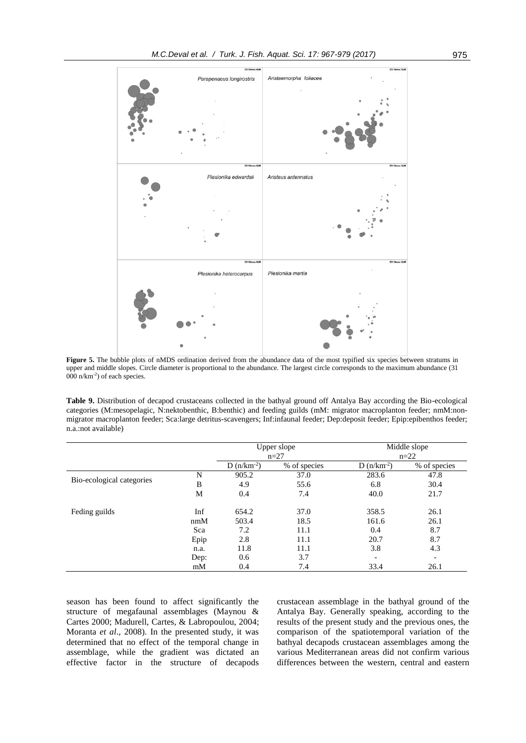

Figure 5. The bubble plots of nMDS ordination derived from the abundance data of the most typified six species between stratums in upper and middle slopes. Circle diameter is proportional to the abundance. The largest circle corresponds to the maximum abundance (31 000 n/km-2 ) of each species.

**Table 9.** Distribution of decapod crustaceans collected in the bathyal ground off Antalya Bay according the Bio-ecological categories (M:mesopelagic, N:nektobenthic, B:benthic) and feeding guilds (mM: migrator macroplanton feeder; nmM:nonmigrator macroplanton feeder; Sca:large detritus-scavengers; Inf:infaunal feeder; Dep:deposit feeder; Epip:epibenthos feeder; n.a.:not available)

|                           |      |                | Upper slope  | Middle slope<br>$n=22$ |                          |  |
|---------------------------|------|----------------|--------------|------------------------|--------------------------|--|
|                           |      |                | $n=27$       |                        |                          |  |
|                           |      | $D(n/km^{-2})$ | % of species | $D(n/km^{-2})$         | % of species             |  |
|                           | N    | 905.2          | 37.0         | 283.6                  | 47.8                     |  |
| Bio-ecological categories | B    | 4.9            | 55.6         | 6.8                    | 30.4                     |  |
|                           | M    | 0.4            | 7.4          | 40.0                   | 21.7                     |  |
| Feding guilds             | Inf  | 654.2          | 37.0         | 358.5                  | 26.1                     |  |
|                           | nmM  | 503.4          | 18.5         | 161.6                  | 26.1                     |  |
|                           | Sca  | 7.2            | 11.1         | 0.4                    | 8.7                      |  |
|                           | Epip | 2.8            | 11.1         | 20.7                   | 8.7                      |  |
|                           | n.a. | 11.8           | 11.1         | 3.8                    | 4.3                      |  |
|                           | Dep: | 0.6            | 3.7          |                        | $\overline{\phantom{a}}$ |  |
|                           | mM   | 0.4            | 7.4          | 33.4                   | 26.1                     |  |

season has been found to affect significantly the structure of megafaunal assemblages (Maynou & Cartes 2000; Madurell, Cartes, & Labropoulou, 2004; Moranta *et al*., 2008). In the presented study, it was determined that no effect of the temporal change in assemblage, while the gradient was dictated an effective factor in the structure of decapods crustacean assemblage in the bathyal ground of the Antalya Bay. Generally speaking, according to the results of the present study and the previous ones, the comparison of the spatiotemporal variation of the bathyal decapods crustacean assemblages among the various Mediterranean areas did not confirm various differences between the western, central and eastern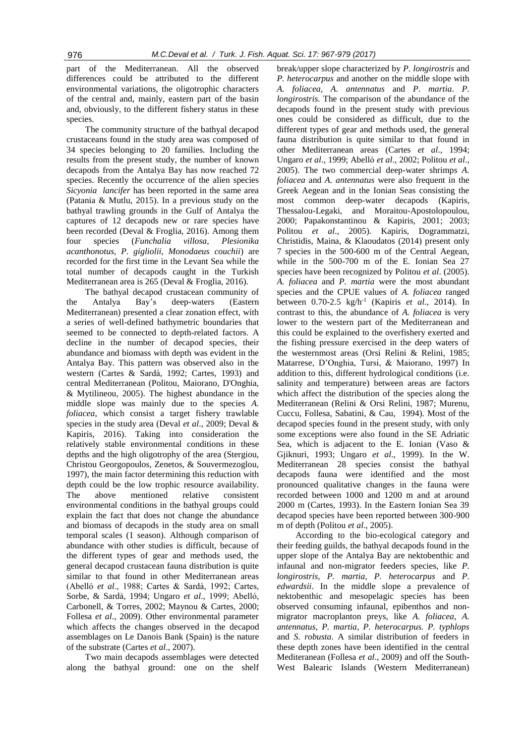part of the Mediterranean. All the observed differences could be attributed to the different environmental variations, the oligotrophic characters of the central and, mainly, eastern part of the basin and, obviously, to the different fishery status in these species.

The community structure of the bathyal decapod crustaceans found in the study area was composed of 34 species belonging to 20 families. Including the results from the present study, the number of known decapods from the Antalya Bay has now reached 72 species. Recently the occurrence of the alien species *Sicyonia lancifer* has been reported in the same area (Patania & Mutlu, 2015). In a previous study on the bathyal trawling grounds in the Gulf of Antalya the captures of 12 decapods new or rare species have been recorded (Deval & Froglia, 2016). Among them four species (*Funchalia villosa, Plesionika acanthonotus, P. gigliolii, Monodaeus couchii*) are recorded for the first time in the Levant Sea while the total number of decapods caught in the Turkish Mediterranean area is 265 (Deval & Froglia, 2016).

The bathyal decapod crustacean community of the Antalya Bay's deep-waters (Eastern Mediterranean) presented a clear zonation effect, with a series of well-defined bathymetric boundaries that seemed to be connected to depth-related factors. A decline in the number of decapod species, their abundance and biomass with depth was evident in the Antalya Bay. This pattern was observed also in the western (Cartes & Sardà, 1992; Cartes, 1993) and central Mediterranean (Politou, Maiorano, D'Onghia, & Mytilineou, 2005). The highest abundance in the middle slope was mainly due to the species *A. foliacea*, which consist a target fishery trawlable species in the study area (Deval *et al*., 2009; Deval & Kapiris, 2016). Taking into consideration the relatively stable environmental conditions in these depths and the high oligotrophy of the area (Stergiou, Christou Georgopoulos, Zenetos, & Souvermezoglou, 1997), the main factor determining this reduction with depth could be the low trophic resource availability. The above mentioned relative consistent environmental conditions in the bathyal groups could explain the fact that does not change the abundance and biomass of decapods in the study area on small temporal scales (1 season). Although comparison of abundance with other studies is difficult, because of the different types of gear and methods used, the general decapod crustacean fauna distribution is quite similar to that found in other Mediterranean areas (Abelló *et al*., 1988; Cartes & Sardà, 1992; Cartes, Sorbe, & Sardà, 1994; Ungaro *et al*., 1999; Abelló, Carbonell, & Torres, 2002; Maynou & Cartes, 2000; Follesa *et al*., 2009). Other environmental parameter which affects the changes observed in the decapod assemblages on Le Danois Bank (Spain) is the nature of the substrate (Cartes *et al*., 2007).

Two main decapods assemblages were detected along the bathyal ground: one on the shelf

break/upper slope characterized by *P. longirostris* and *P. heterocarpus* and another on the middle slope with *A. foliacea, A. antennatus* and *P. martia*. *P. longirostris.* The comparison of the abundance of the decapods found in the present study with previous ones could be considered as difficult, due to the different types of gear and methods used, the general fauna distribution is quite similar to that found in other Mediterranean areas (Cartes *et al*., 1994; Ungaro *et al*., 1999; Abelló *et al*., 2002; Politou *et al*., 2005). The two commercial deep-water shrimps *A. foliacea* and *A. antennatus* were also frequent in the Greek Aegean and in the Ionian Seas consisting the most common deep-water decapods (Kapiris, Thessalou-Legaki, and Moraitou-Apostolopoulou, 2000; Papakonstantinou & Kapiris, 2001; 2003; Politou *et al*., 2005). Kapiris, Dogrammatzi, Christidis, Maina, & Klaoudatos (2014) present only 7 species in the 500-600 m of the Central Aegean, while in the 500-700 m of the E. Ionian Sea 27 species have been recognized by Politou *et al*. (2005). *A. foliacea* and *P. martia* were the most abundant species and the CPUE values of *A. foliacea* ranged between 0.70-2.5 kg/h-1 (Kapiris *et al*., 2014). In contrast to this, the abundance of *A. foliacea* is very lower to the western part of the Mediterranean and this could be explained to the overfishery exerted and the fishing pressure exercised in the deep waters of the westernmost areas (Orsi Relini & Relini, 1985; Matarrese, D'Onghia, Tursi, & Maiorano, 1997) In addition to this, different hydrological conditions (i.e. salinity and temperature) between areas are factors which affect the distribution of the species along the Mediterranean (Relini & Orsi Relini, 1987; Murenu, Cuccu, Follesa, Sabatini, & Cau, 1994). Most of the decapod species found in the present study, with only some exceptions were also found in the SE Adriatic Sea, which is adjacent to the E. Ionian (Vaso & Gjiknuri, 1993; Ungaro *et al*., 1999). In the W. Mediterranean 28 species consist the bathyal decapods fauna were identified and the most pronounced qualitative changes in the fauna were recorded between 1000 and 1200 m and at around 2000 m (Cartes, 1993). In the Eastern Ionian Sea 39 decapod species have been reported between 300-900 m of depth (Politou *et al*., 2005).

According to the bio-ecological category and their feeding guilds, the bathyal decapods found in the upper slope of the Antalya Bay are nektobenthic and infaunal and non-migrator feeders species, like *P. longirostris, P. martia, P. heterocarpus* and *P. edwardsii*. In the middle slope a prevalence of nektobenthic and mesopelagic species has been observed consuming infaunal, epibenthos and nonmigrator macroplanton preys, like *A. foliacea, A. antennatus, P. martia, P. heterocarpus. P. typhlops* and *S. robusta*. A similar distribution of feeders in these depth zones have been identified in the central Mediteranean (Follesa *et al*., 2009) and off the South-West Balearic Islands (Western Mediterranean)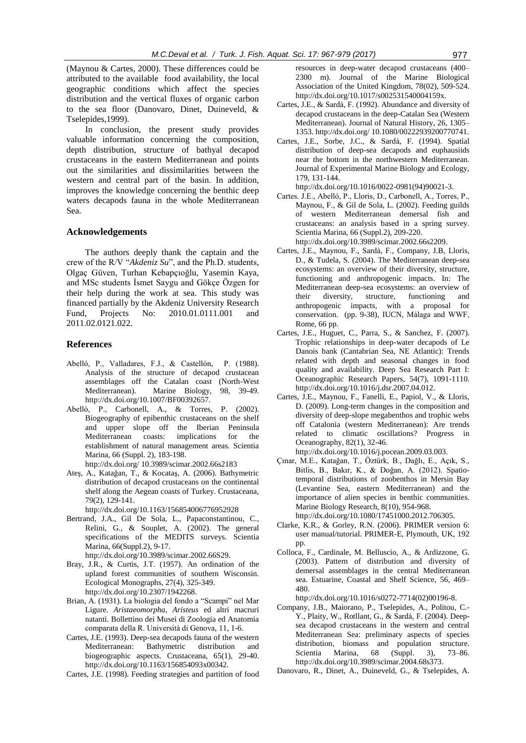(Maynou & Cartes, 2000). These differences could be attributed to the available food availability, the local geographic conditions which affect the species distribution and the vertical fluxes of organic carbon to the sea floor (Danovaro, Dinet, Duineveld, & Tselepides,1999).

In conclusion, the present study provides valuable information concerning the composition, depth distribution, structure of bathyal decapod crustaceans in the eastern Mediterranean and points out the similarities and dissimilarities between the western and central part of the basin. In addition, improves the knowledge concerning the benthic deep waters decapods fauna in the whole Mediterranean Sea.

#### **Acknowledgements**

The authors deeply thank the captain and the crew of the R/V "*Akdeniz Su*", and the Ph.D. students, Olgaç Güven, Turhan Kebapçıoğlu, Yasemin Kaya, and MSc students İsmet Saygu and Gökçe Özgen for their help during the work at sea. This study was financed partially by the Akdeniz University Research Fund, Projects No: 2010.01.0111.001 and 2011.02.0121.022.

## **References**

- Abelló, P., Valladares, F.J., & Castellón, P. (1988). Analysis of the structure of decapod crustacean assemblages off the Catalan coast (North-West Mediterranean). Marine Biology, 98, 39-49. http://dx.doi.org/10.1007/BF00392657.
- Abelló, P., Carbonell, A., & Torres, P. (2002). Biogeography of epibenthic crustaceans on the shelf and upper slope off the Iberian Peninsula Mediterranean coasts: implications for the establishment of natural management areas. Scientia Marina, 66 (Suppl. 2), 183-198. http://dx.doi.org/ 10.3989/scimar.2002.66s2183
- Ateş, A., Katağan, T., & Kocataş, A. (2006). Bathymetric distribution of decapod crustaceans on the continental shelf along the Aegean coasts of Turkey. Crustaceana, 79(2), 129-141.

http://dx.doi.org/10.1163/156854006776952928

- Bertrand, J.A., Gil De Sola, L., Papaconstantinou, C., Relini, G., & Souplet, A. (2002). The general specifications of the MEDITS surveys. Scientia Marina, 66(Suppl.2), 9-17.
	- http://dx.doi.org/10.3989/scimar.2002.66S29.
- Bray, J.R., & Curtis, J.T. (1957). An ordination of the upland forest communities of southern Wisconsin. Ecological Monographs, 27(4), 325-349. http://dx.doi.org/10.2307/1942268.
- Brian, A. (1931). La biologia del fondo a "Scampi" nel Mar Ligure. *Aristaeomorpha*, *Aristeus* ed altri macruri natanti. Bollettino dei Musei di Zoologia ed Anatomia comparata della R. Università di Genova, 11, 1-6.
- Cartes, J.E. (1993). Deep-sea decapods fauna of the western Mediterranean: Bathymetric distribution and biogeographic aspects. Crustaceana, 65(1), 29-40. http://dx.doi.org/10.1163/156854093x00342.

Cartes, J.E. (1998). Feeding strategies and partition of food

resources in deep-water decapod crustaceans (400– 2300 m). Journal of the Marine Biological Association of the United Kingdom, 78(02), 509-524. http://dx.doi.org/10.1017/s002531540004159x.

- Cartes, J.E., & Sardà, F. (1992). Abundance and diversity of decapod crustaceans in the deep-Catalan Sea (Western Mediterranean). Journal of Natural History, 26, 1305– 1353. http://dx.doi.org/ 10.1080/00222939200770741.
- Cartes, J.E., Sorbe, J.C., & Sardà, F. (1994). Spatial distribution of deep-sea decapods and euphausiids near the bottom in the northwestern Mediterranean. Journal of Experimental Marine Biology and Ecology, 179, 131-144.
- http://dx.doi.org/10.1016/0022-0981(94)90021-3.
- Cartes. J.E., Abelló, P., Lloris, D., Carbonell, A., Torres, P., Maynou, F., & Gil de Sola, L. (2002). Feeding guilds of western Mediterranean demersal fish and crustaceans: an analysis based in a spring survey*.*  Scientia Marina, 66 (Suppl.2), 209-220.
	- http://dx.doi.org/10.3989/scimar.2002.66s2209.
- Cartes, J.E., Maynou, F., Sardà, F., Company, J.B, Lloris, D., & Tudela, S. (2004). The Mediterranean deep-sea ecosystems: an overview of their diversity, structure, functioning and anthropogenic impacts. In: The Mediterranean deep-sea ecosystems: an overview of their diversity, structure, functioning and anthropogenic impacts, with a proposal for conservation. (pp. 9-38), IUCN, Málaga and WWF, Rome, 66 pp.
- Cartes, J.E., Huguet, C., Parra, S., & Sanchez, F. (2007). Trophic relationships in deep-water decapods of Le Danois bank (Cantabrian Sea, NE Atlantic): Trends related with depth and seasonal changes in food quality and availability. Deep Sea Research Part I: Oceanographic Research Papers, 54(7), 1091-1110. http://dx.doi.org/10.1016/j.dsr.2007.04.012.
- Cartes, J.E., Maynou, F., Fanelli, E., Papiol, V., & Lloris, D. (2009). Long-term changes in the composition and diversity of deep-slope megabenthos and trophic webs off Catalonia (western Mediterranean): Are trends related to climatic oscillations? Progress in Oceanography, 82(1), 32-46.
- http://dx.doi.org/10.1016/j.pocean.2009.03.003. Çınar, M.E., Katağan, T., Öztürk, B., Dağlı, E., Açık, S., Bitlis, B., Bakır, K., & Doğan, A. (2012). Spatiotemporal distributions of zoobenthos in Mersin Bay (Levantine Sea, eastern Mediterranean) and the importance of alien species in benthic communities. Marine Biology Research, 8(10), 954-968.

http://dx.doi.org/10.1080/17451000.2012.706305.

- Clarke, K.R., & Gorley, R.N. (2006). PRIMER version 6: user manual/tutorial. PRIMER-E, Plymouth, UK, 192 pp.
- Colloca, F., Cardinale, M. Belluscio, A., & Ardizzone, G. (2003). Pattern of distribution and diversity of demersal assemblages in the central Mediterranean sea. Estuarine, Coastal and Shelf Science, 56, 469– 480.

http://dx.doi.org/10.1016/s0272-7714(02)00196-8.

- Company, J.B., Maiorano, P., Tselepides, A., Politou, C.- Y., Plaity, W., Rotllant, G., & Sardà, F. (2004). Deepsea decapod crustaceans in the western and central Mediterranean Sea: preliminary aspects of species distribution, biomass and population structure. Scientia Marina, 68 (Suppl. 3), 73–86. http://dx.doi.org/10.3989/scimar.2004.68s373.
- Danovaro, R., Dinet, A., Duineveld, G., & Tselepides, A.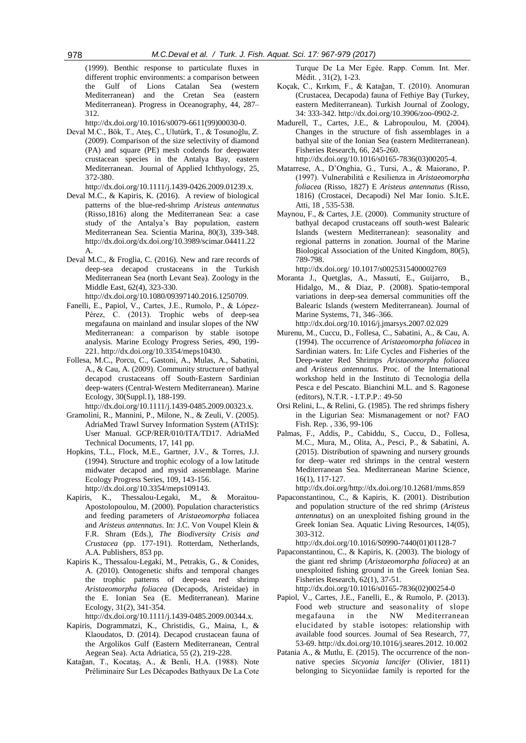(1999). Benthic response to particulate fluxes in different trophic environments: a comparison between the Gulf of Lions Catalan Sea (western Mediterranean) and the Cretan Sea (eastern Mediterranean). Progress in Oceanography, 44, 287– 312.

http://dx.doi.org/10.1016/s0079-6611(99)00030-0.

Deval M.C., Bök, T., Ateş, C., Ulutürk, T., & Tosunoğlu, Z. (2009). Comparison of the size selectivity of diamond (PA) and square (PE) mesh codends for deepwater crustacean species in the Antalya Bay, eastern Mediterranean. Journal of Applied Ichthyology, 25, 372-380.

http://dx.doi.org/10.1111/j.1439-0426.2009.01239.x.

- Deval M.C., & Kapiris, K. (2016). A review of biological patterns of the blue-red-shrimp *Aristeus antennatus*  (Risso,1816) along the Mediterranean Sea: a case study of the Antalya's Bay population, eastern Mediterranean Sea. Scientia Marina, 80(3), 339-348. http://dx.doi.org/dx.doi.org/10.3989/scimar.04411.22 A.
- Deval M.C., & Froglia, C. (2016). New and rare records of deep-sea decapod crustaceans in the Turkish Mediterranean Sea (north Levant Sea). Zoology in the Middle East, 62(4), 323-330. http://dx.doi.org/10.1080/09397140.2016.1250709.
- Fanelli, E., Papiol, V., Cartes, J.E., Rumolo, P., & López-Pérez, C. (2013). Trophic webs of deep-sea megafauna on mainland and insular slopes of the NW Mediterranean: a comparison by stable isotope analysis. Marine Ecology Progress Series, 490, 199- 221. http://dx.doi.org/10.3354/meps10430.
- Follesa, M.C., Porcu, C., Gastoni, A., Mulas, A., Sabatini, A., & Cau, A. (2009). Community structure of bathyal decapod crustaceans off South‐Eastern Sardinian deep‐waters (Central‐Western Mediterranean). Marine Ecology, 30(Suppl.1), 188-199.

http://dx.doi.org/10.1111/j.1439-0485.2009.00323.x.

- Gramolini, R., Mannini, P., Milone, N., & Zeuli, V. (2005). AdriaMed Trawl Survey Information System (ATrIS): User Manual. GCP/RER/010/ITA/TD17. AdriaMed Technical Documents, 17, 141 pp.
- Hopkins, T.L., Flock, M.E., Gartner, J.V., & Torres, J.J. (1994). Structure and trophic ecology of a low latitude midwater decapod and mysid assemblage. Marine Ecology Progress Series, 109, 143-156. http://dx.doi.org/10.3354/meps109143.
- Kapiris, K., Thessalou-Legaki, M., & Moraitou-Apostolopoulou, M. (2000). Population characteristics and feeding parameters of *Aristaeomorpha* foliacea and *Aristeus antennatus*. In: J.C. Von Voupel Klein & F.R. Shram (Eds.), *The Biodiversity Crisis and Crustacea* (pp. 177-191). Rotterdam, Netherlands, A.A. Publishers, 853 pp.
- Kapiris K., Thessalou-Legaki, M., Petrakis, G., & Conides, A. (2010). Ontogenetic shifts and temporal changes the trophic patterns of deep-sea red shrimp *Aristaeomorpha foliacea* (Decapods, Aristeidae) in the E. Ionian Sea (E. Mediterranean). Marine Ecology, 31(2), 341-354.

http://dx.doi.org/10.1111/j.1439-0485.2009.00344.x.

- Kapiris, Dogrammatzi, K., Christidis, G., Maina, I., & Klaoudatos, D. (2014). Decapod crustacean fauna of the Argolikos Gulf (Eastern Mediterranean, Central Aegean Sea). Αcta Adriatica, 55 (2), 219-228.
- Katağan, T., Kocataş, A., & Benli, H.A. (1988). Note Préliminaire Sur Les Décapodes Bathyaux De La Cote

Turque De La Mer Egée. Rapp. Comm. Int. Mer. Médit. , 31(2), 1-23.

- Koçak, C., Kırkım, F., & Katağan, T. (2010). Anomuran (Crustacea, Decapoda) fauna of Fethiye Bay (Turkey, eastern Mediterranean). Turkish Journal of Zoology, 34: 333-342. http://dx.doi.org/10.3906/zoo-0902-2.
- Madurell, T., Cartes, J.E., & Labropoulou, M. (2004). Changes in the structure of fish assemblages in a bathyal site of the Ionian Sea (eastern Mediterranean). Fisheries Research, 66, 245-260. http://dx.doi.org/10.1016/s0165-7836(03)00205-4.
- Matarrese, A., D'Onghia, G., Tursi, A., & Maiorano, P. (1997). Vulnerabilità e Resilienza in *Aristaeomorpha foliacea* (Risso, 1827) E *Aristeus antennatus* (Risso, 1816) (Crostacei, Decapodi) Nel Mar Ionio. S.It.E. Atti, 18 , 535-538.
- Maynou, F., & Cartes, J.E. (2000). Community structure of bathyal decapod crustaceans off south-west Balearic Islands (western Mediterranean): seasonality and regional patterns in zonation. Journal of the Marine Biological Association of the United Kingdom, 80(5), 789-798.

http://dx.doi.org/ 10.1017/s0025315400002769

Moranta J., Quetglas, A., Massutí, E., Guijarro, B., Hidalgo, M., & Diaz, P. (2008). Spatio-temporal variations in deep-sea demersal communities off the Balearic Islands (western Mediterranean). Journal of Marine Systems, 71, 346–366.

http://dx.doi.org/10.1016/j.jmarsys.2007.02.029

- Murenu, M., Cuccu, D., Follesa, C., Sabatini, A., & Cau, A. (1994). The occurrence of *Aristaeomorpha foliacea* in Sardinian waters. In: Life Cycles and Fisheries of the Deep-water Red Shrimps *Aristaeomorpha foliacea*  and *Aristeus antennatus.* Proc. of the International workshop held in the Instituto di Tecnologia della Pesca e del Pescato. Bianchini M.L. and S. Ragonese (editors), N.T.R. - I.T.P.P.: 49-50
- Orsi Relini, L., & Relini, G. (1985). The red shrimps fishery in the Ligurian Sea: Mismanagement or not? FAO Fish. Rep. , 336, 99-106
- Palmas, F., Addis, P., Cabiddu, S., Cuccu, D., Follesa, M.C., Mura, M., Olita, A., Pesci, P., & Sabatini, A. (2015). Distribution of spawning and nursery grounds for deep–water red shrimps in the central western Mediterranean Sea. Mediterranean Marine Science, 16(1), 117-127.

http://dx.doi.org/http://dx.doi.org/10.12681/mms.859

Papaconstantinou, C., & Kapiris, K. (2001). Distribution and population structure of the red shrimp (*Aristeus antennatus*) on an unexploited fishing ground in the Greek Ionian Sea. Aquatic Living Resources, 14(05), 303-312.

http://dx.doi.org/10.1016/S0990-7440(01)01128-7

- Papaconstantinou, C., & Kapiris, K. (2003). The biology of the giant red shrimp (*Aristaeomorpha foliacea*) at an unexploited fishing ground in the Greek Ionian Sea. Fisheries Research, 62(1), 37-51.
- http://dx.doi.org/10.1016/s0165-7836(02)00254-0 Papiol, V., Cartes, J.E., Fanelli, E., & Rumolo, P. (2013). Food web structure and seasonality of slope megafauna in the NW Mediterranean elucidated by stable isotopes: relationship with available food sources. Journal of Sea Research, 77, 53-69. http://dx.doi.org/10.1016/j.seares.2012. 10.002
- Patania A., & Mutlu, E. (2015). The occurrence of the nonnative species *Sicyonia lancifer* (Olivier, 1811) belonging to Sicyoniidae family is reported for the